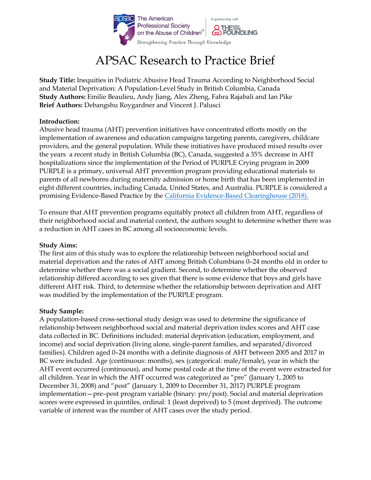

# APSAC Research to Practice Brief

**Study Title:** Inequities in Pediatric Abusive Head Trauma According to Neighborhood Social and Material Deprivation: A Population-Level Study in British Columbia, Canada **Study Authors:** Emilie Beaulieu, Andy Jiang, Alex Zheng, Fahra Rajabali and Ian Pike **Brief Authors:** Debangshu Roygardner and Vincent J. Palusci

#### **Introduction:**

Abusive head trauma (AHT) prevention initiatives have concentrated efforts mostly on the implementation of awareness and education campaigns targeting parents, caregivers, childcare providers, and the general population. While these initiatives have produced mixed results over the years a recent study in British Columbia (BC), Canada, suggested a 35% decrease in AHT hospitalizations since the implementation of the Period of PURPLE Crying program in 2009 PURPLE is a primary, universal AHT prevention program providing educational materials to parents of all newborns during maternity admission or home birth that has been implemented in eight different countries, including Canada, United States, and Australia. PURPLE is considered a promising Evidence-Based Practice by the [California Evidence-Based Clearinghouse](https://www.cebc4cw.org/program/period-of-purple-crying/) (2018).

To ensure that AHT prevention programs equitably protect all children from AHT, regardless of their neighborhood social and material context, the authors sought to determine whether there was a reduction in AHT cases in BC among all socioeconomic levels.

#### **Study Aims:**

The first aim of this study was to explore the relationship between neighborhood social and material deprivation and the rates of AHT among British Columbians 0–24 months old in order to determine whether there was a social gradient. Second, to determine whether the observed relationship differed according to sex given that there is some evidence that boys and girls have different AHT risk. Third, to determine whether the relationship between deprivation and AHT was modified by the implementation of the PURPLE program.

#### **Study Sample:**

A population-based cross-sectional study design was used to determine the significance of relationship between neighborhood social and material deprivation index scores and AHT case data collected in BC. Definitions included: material deprivation (education, employment, and income) and social deprivation (living alone, single-parent families, and separated/divorced families). Children aged 0–24 months with a definite diagnosis of AHT between 2005 and 2017 in BC were included. Age (continuous: months), sex (categorical: male/female), year in which the AHT event occurred (continuous), and home postal code at the time of the event were extracted for all children. Year in which the AHT occurred was categorized as "pre" (January 1, 2005 to December 31, 2008) and "post" (January 1, 2009 to December 31, 2017) PURPLE program implementation—pre–post program variable (binary: pre/post). Social and material deprivation scores were expressed in quintiles, ordinal: 1 (least deprived) to 5 (most deprived). The outcome variable of interest was the number of AHT cases over the study period.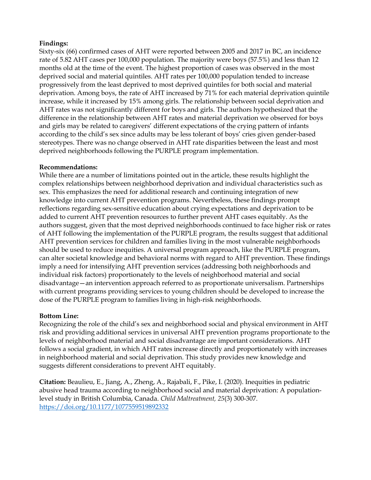### **Findings:**

Sixty-six (66) confirmed cases of AHT were reported between 2005 and 2017 in BC, an incidence rate of 5.82 AHT cases per 100,000 population. The majority were boys (57.5%) and less than 12 months old at the time of the event. The highest proportion of cases was observed in the most deprived social and material quintiles. AHT rates per 100,000 population tended to increase progressively from the least deprived to most deprived quintiles for both social and material deprivation. Among boys, the rate of AHT increased by 71% for each material deprivation quintile increase, while it increased by 15% among girls. The relationship between social deprivation and AHT rates was not significantly different for boys and girls. The authors hypothesized that the difference in the relationship between AHT rates and material deprivation we observed for boys and girls may be related to caregivers' different expectations of the crying pattern of infants according to the child's sex since adults may be less tolerant of boys' cries given gender-based stereotypes. There was no change observed in AHT rate disparities between the least and most deprived neighborhoods following the PURPLE program implementation.

## **Recommendations:**

While there are a number of limitations pointed out in the article, these results highlight the complex relationships between neighborhood deprivation and individual characteristics such as sex. This emphasizes the need for additional research and continuing integration of new knowledge into current AHT prevention programs. Nevertheless, these findings prompt reflections regarding sex-sensitive education about crying expectations and deprivation to be added to current AHT prevention resources to further prevent AHT cases equitably. As the authors suggest, given that the most deprived neighborhoods continued to face higher risk or rates of AHT following the implementation of the PURPLE program, the results suggest that additional AHT prevention services for children and families living in the most vulnerable neighborhoods should be used to reduce inequities. A universal program approach, like the PURPLE program, can alter societal knowledge and behavioral norms with regard to AHT prevention. These findings imply a need for intensifying AHT prevention services (addressing both neighborhoods and individual risk factors) proportionately to the levels of neighborhood material and social disadvantage—an intervention approach referred to as proportionate universalism. Partnerships with current programs providing services to young children should be developed to increase the dose of the PURPLE program to families living in high-risk neighborhoods.

#### **Bottom Line:**

Recognizing the role of the child's sex and neighborhood social and physical environment in AHT risk and providing additional services in universal AHT prevention programs proportionate to the levels of neighborhood material and social disadvantage are important considerations. AHT follows a social gradient, in which AHT rates increase directly and proportionately with increases in neighborhood material and social deprivation. This study provides new knowledge and suggests different considerations to prevent AHT equitably.

**Citation:** Beaulieu, E., Jiang, A., Zheng, A., Rajabali, F., Pike, I. (2020). Inequities in pediatric abusive head trauma according to neighborhood social and material deprivation: A populationlevel study in British Columbia, Canada. *Child Maltreatment, 25*(3) 300-307*.*  <https://doi.org/10.1177/1077559519892332>